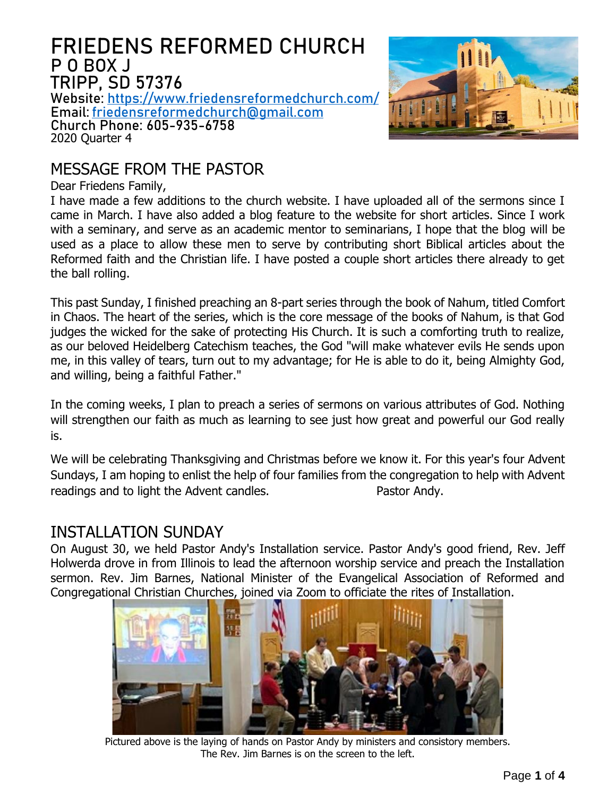# **FRIEDENS REFORMED CHURCH P O BOX J TRIPP, SD 57376**

**Website: <https://www.friedensreformedchurch.com/> Email: [friedensreformedchurch@gmail.com](mailto:friedensreformedchurch@gmail.com) Church Phone: 605-935-6758**

2020 Quarter 4



# MESSAGE FROM THE PASTOR

Dear Friedens Family,

I have made a few additions to the church website. I have uploaded all of the sermons since I came in March. I have also added a blog feature to the website for short articles. Since I work with a seminary, and serve as an academic mentor to seminarians, I hope that the blog will be used as a place to allow these men to serve by contributing short Biblical articles about the Reformed faith and the Christian life. I have posted a couple short articles there already to get the ball rolling.

This past Sunday, I finished preaching an 8-part series through the book of Nahum, titled Comfort in Chaos. The heart of the series, which is the core message of the books of Nahum, is that God judges the wicked for the sake of protecting His Church. It is such a comforting truth to realize, as our beloved Heidelberg Catechism teaches, the God "will make whatever evils He sends upon me, in this valley of tears, turn out to my advantage; for He is able to do it, being Almighty God, and willing, being a faithful Father."

In the coming weeks, I plan to preach a series of sermons on various attributes of God. Nothing will strengthen our faith as much as learning to see just how great and powerful our God really is.

We will be celebrating Thanksgiving and Christmas before we know it. For this year's four Advent Sundays, I am hoping to enlist the help of four families from the congregation to help with Advent readings and to light the Advent candles. The Pastor Andy.

#### INSTALLATION SUNDAY

On August 30, we held Pastor Andy's Installation service. Pastor Andy's good friend, Rev. Jeff Holwerda drove in from Illinois to lead the afternoon worship service and preach the Installation sermon. Rev. Jim Barnes, National Minister of the Evangelical Association of Reformed and Congregational Christian Churches, joined via Zoom to officiate the rites of Installation.



Pictured above is the laying of hands on Pastor Andy by ministers and consistory members. The Rev. Jim Barnes is on the screen to the left.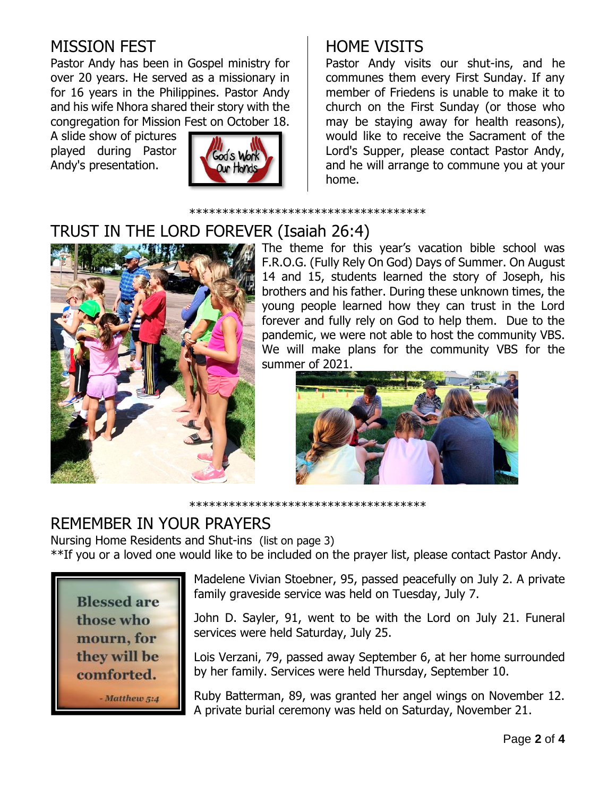# MISSION FEST

Pastor Andy has been in Gospel ministry for over 20 years. He served as a missionary in for 16 years in the Philippines. Pastor Andy and his wife Nhora shared their story with the congregation for Mission Fest on October 18.

A slide show of pictures played during Pastor Andy's presentation.



# HOME VISITS

Pastor Andy visits our shut-ins, and he communes them every First Sunday. If any member of Friedens is unable to make it to church on the First Sunday (or those who may be staying away for health reasons), would like to receive the Sacrament of the Lord's Supper, please contact Pastor Andy, and he will arrange to commune you at your home.

\*\*\*\*\*\*\*\*\*\*\*\*\*\*\*\*\*\*\*\*\*\*\*\*\*\*\*\*\*\*\*\*\*\*\*\*

# TRUST IN THE LORD FOREVER (Isaiah 26:4)



The theme for this year's vacation bible school was F.R.O.G. (Fully Rely On God) Days of Summer. On August 14 and 15, students learned the story of Joseph, his brothers and his father. During these unknown times, the young people learned how they can trust in the Lord forever and fully rely on God to help them. Due to the pandemic, we were not able to host the community VBS. We will make plans for the community VBS for the summer of 2021.



\*\*\*\*\*\*\*\*\*\*\*\*\*\*\*\*\*\*\*\*\*\*\*\*\*\*\*\*\*\*\*\*\*\*\*\*

# REMEMBER IN YOUR PRAYERS

Nursing Home Residents and Shut-ins (list on page 3)

\*\*If you or a loved one would like to be included on the prayer list, please contact Pastor Andy.



Madelene Vivian Stoebner, 95, passed peacefully on July 2. A private family graveside service was held on Tuesday, July 7.

John D. Sayler, 91, went to be with the Lord on July 21. Funeral services were held Saturday, July 25.

Lois Verzani, 79, passed away September 6, at her home surrounded by her family. Services were held Thursday, September 10.

Ruby Batterman, 89, was granted her angel wings on November 12. A private burial ceremony was held on Saturday, November 21.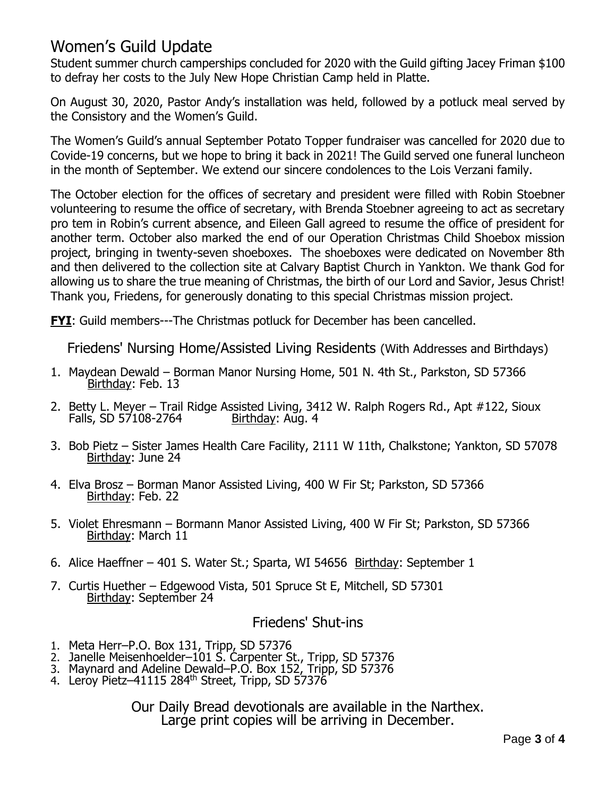## Women's Guild Update

Student summer church camperships concluded for 2020 with the Guild gifting Jacey Friman \$100 to defray her costs to the July New Hope Christian Camp held in Platte.

On August 30, 2020, Pastor Andy's installation was held, followed by a potluck meal served by the Consistory and the Women's Guild.

The Women's Guild's annual September Potato Topper fundraiser was cancelled for 2020 due to Covide-19 concerns, but we hope to bring it back in 2021! The Guild served one funeral luncheon in the month of September. We extend our sincere condolences to the Lois Verzani family.

The October election for the offices of secretary and president were filled with Robin Stoebner volunteering to resume the office of secretary, with Brenda Stoebner agreeing to act as secretary pro tem in Robin's current absence, and Eileen Gall agreed to resume the office of president for another term. October also marked the end of our Operation Christmas Child Shoebox mission project, bringing in twenty-seven shoeboxes. The shoeboxes were dedicated on November 8th and then delivered to the collection site at Calvary Baptist Church in Yankton. We thank God for allowing us to share the true meaning of Christmas, the birth of our Lord and Savior, Jesus Christ! Thank you, Friedens, for generously donating to this special Christmas mission project.

**FYI:** Guild members---The Christmas potluck for December has been cancelled.

Friedens' Nursing Home/Assisted Living Residents (With Addresses and Birthdays)

- 1. Maydean Dewald Borman Manor Nursing Home, 501 N. 4th St., Parkston, SD 57366 Birthday: Feb. 13
- 2. Betty L. Meyer Trail Ridge Assisted Living, 3412 W. Ralph Rogers Rd., Apt #122, Sioux Falls, SD 57108-2764 Birthday: Aug. 4
- 3. Bob Pietz Sister James Health Care Facility, 2111 W 11th, Chalkstone; Yankton, SD 57078 Birthday: June 24
- 4. Elva Brosz Borman Manor Assisted Living, 400 W Fir St; Parkston, SD 57366 Birthday: Feb. 22
- 5. Violet Ehresmann Bormann Manor Assisted Living, 400 W Fir St; Parkston, SD 57366 Birthday: March 11
- 6. Alice Haeffner 401 S. Water St.; Sparta, WI 54656 Birthday: September 1
- 7. Curtis Huether Edgewood Vista, 501 Spruce St E, Mitchell, SD 57301 Birthday: September 24

#### Friedens' Shut-ins

- 1. Meta Herr–P.O. Box 131, Tripp, SD 57376
- 2. Janelle Meisenhoelder–101 S. Carpenter St., Tripp, SD 57376
- 3. Maynard and Adeline Dewald–P.O. Box 152, Tripp, SD 57376
- 4. Leroy Pietz–41115 284<sup>th</sup> Street, Tripp, SD 57376

Our Daily Bread devotionals are available in the Narthex. Large print copies will be arriving in December.